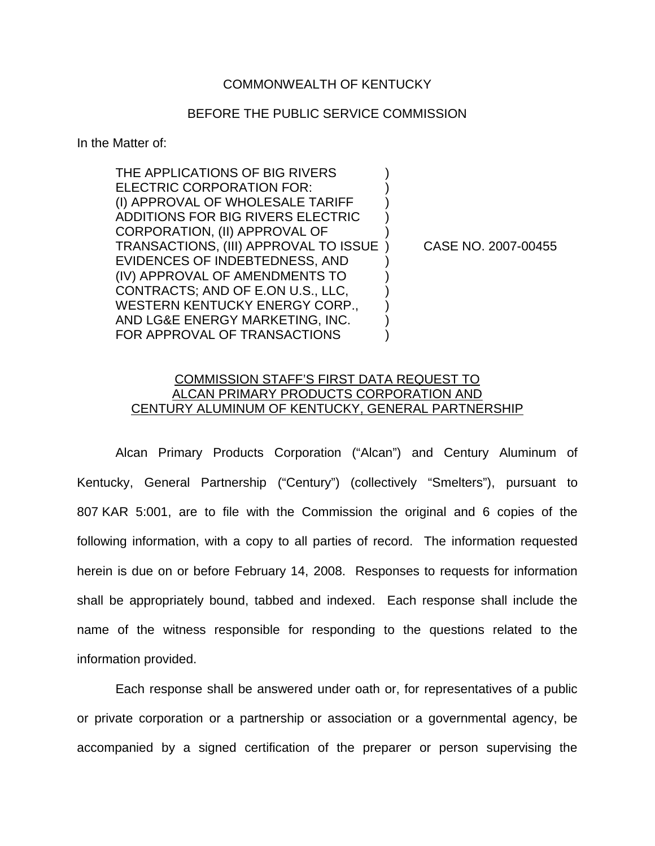## COMMONWEALTH OF KENTUCKY

## BEFORE THE PUBLIC SERVICE COMMISSION

In the Matter of:

THE APPLICATIONS OF BIG RIVERS ELECTRIC CORPORATION FOR: (I) APPROVAL OF WHOLESALE TARIFF ) ADDITIONS FOR BIG RIVERS ELECTRIC ) CORPORATION, (II) APPROVAL OF ) TRANSACTIONS, (III) APPROVAL TO ISSUE ) CASE NO. 2007-00455 EVIDENCES OF INDEBTEDNESS, AND ) (IV) APPROVAL OF AMENDMENTS TO ) CONTRACTS; AND OF E.ON U.S., LLC, ) WESTERN KENTUCKY ENERGY CORP., AND LG&E ENERGY MARKETING, INC. ) FOR APPROVAL OF TRANSACTIONS  $\qquad\qquad)$ 

## COMMISSION STAFF'S FIRST DATA REQUEST TO ALCAN PRIMARY PRODUCTS CORPORATION AND CENTURY ALUMINUM OF KENTUCKY, GENERAL PARTNERSHIP

Alcan Primary Products Corporation ("Alcan") and Century Aluminum of Kentucky, General Partnership ("Century") (collectively "Smelters"), pursuant to 807 KAR 5:001, are to file with the Commission the original and 6 copies of the following information, with a copy to all parties of record. The information requested herein is due on or before February 14, 2008. Responses to requests for information shall be appropriately bound, tabbed and indexed. Each response shall include the name of the witness responsible for responding to the questions related to the information provided.

Each response shall be answered under oath or, for representatives of a public or private corporation or a partnership or association or a governmental agency, be accompanied by a signed certification of the preparer or person supervising the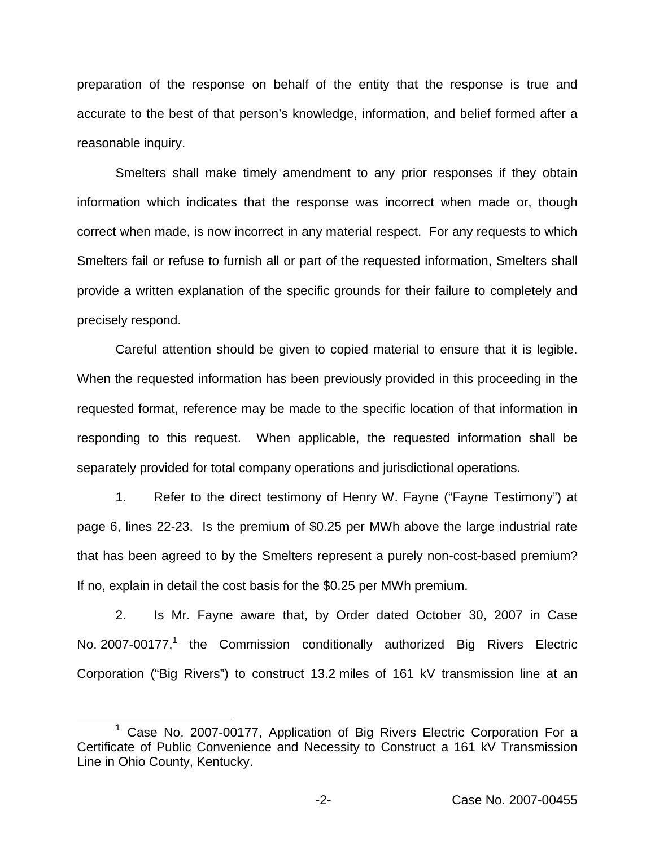preparation of the response on behalf of the entity that the response is true and accurate to the best of that person's knowledge, information, and belief formed after a reasonable inquiry.

Smelters shall make timely amendment to any prior responses if they obtain information which indicates that the response was incorrect when made or, though correct when made, is now incorrect in any material respect. For any requests to which Smelters fail or refuse to furnish all or part of the requested information, Smelters shall provide a written explanation of the specific grounds for their failure to completely and precisely respond.

Careful attention should be given to copied material to ensure that it is legible. When the requested information has been previously provided in this proceeding in the requested format, reference may be made to the specific location of that information in responding to this request. When applicable, the requested information shall be separately provided for total company operations and jurisdictional operations.

1. Refer to the direct testimony of Henry W. Fayne ("Fayne Testimony") at page 6, lines 22-23. Is the premium of \$0.25 per MWh above the large industrial rate that has been agreed to by the Smelters represent a purely non-cost-based premium? If no, explain in detail the cost basis for the \$0.25 per MWh premium.

2. Is Mr. Fayne aware that, by Order dated October 30, 2007 in Case No. 2007-00177,<sup>1</sup> the Commission conditionally authorized Big Rivers Electric Corporation ("Big Rivers") to construct 13.2 miles of 161 kV transmission line at an

<sup>&</sup>lt;sup>1</sup> Case No. 2007-00177, Application of Big Rivers Electric Corporation For a Certificate of Public Convenience and Necessity to Construct a 161 kV Transmission Line in Ohio County, Kentucky.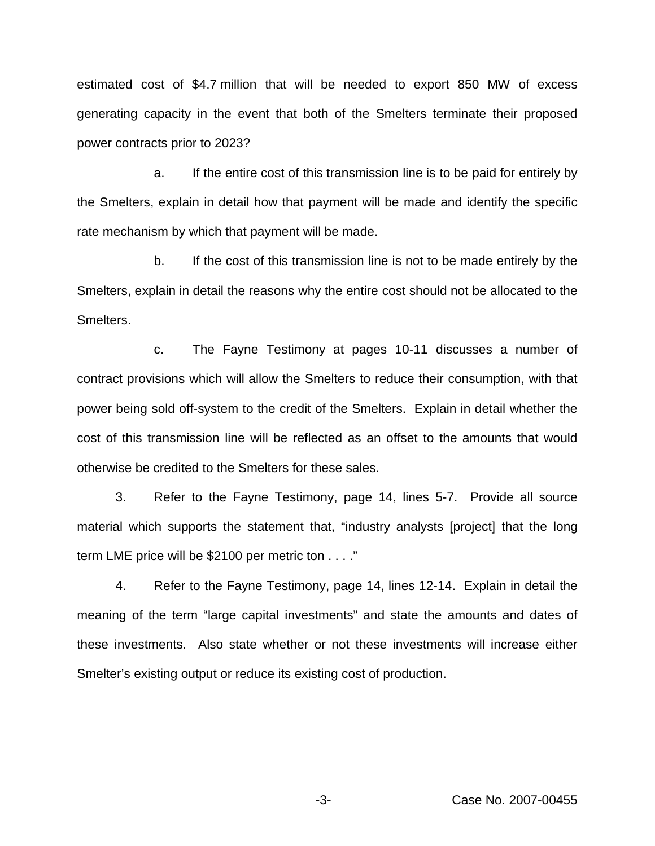estimated cost of \$4.7 million that will be needed to export 850 MW of excess generating capacity in the event that both of the Smelters terminate their proposed power contracts prior to 2023?

a. If the entire cost of this transmission line is to be paid for entirely by the Smelters, explain in detail how that payment will be made and identify the specific rate mechanism by which that payment will be made.

b. If the cost of this transmission line is not to be made entirely by the Smelters, explain in detail the reasons why the entire cost should not be allocated to the Smelters.

c. The Fayne Testimony at pages 10-11 discusses a number of contract provisions which will allow the Smelters to reduce their consumption, with that power being sold off-system to the credit of the Smelters. Explain in detail whether the cost of this transmission line will be reflected as an offset to the amounts that would otherwise be credited to the Smelters for these sales.

3. Refer to the Fayne Testimony, page 14, lines 5-7. Provide all source material which supports the statement that, "industry analysts [project] that the long term LME price will be \$2100 per metric ton . . . ."

4. Refer to the Fayne Testimony, page 14, lines 12-14. Explain in detail the meaning of the term "large capital investments" and state the amounts and dates of these investments. Also state whether or not these investments will increase either Smelter's existing output or reduce its existing cost of production.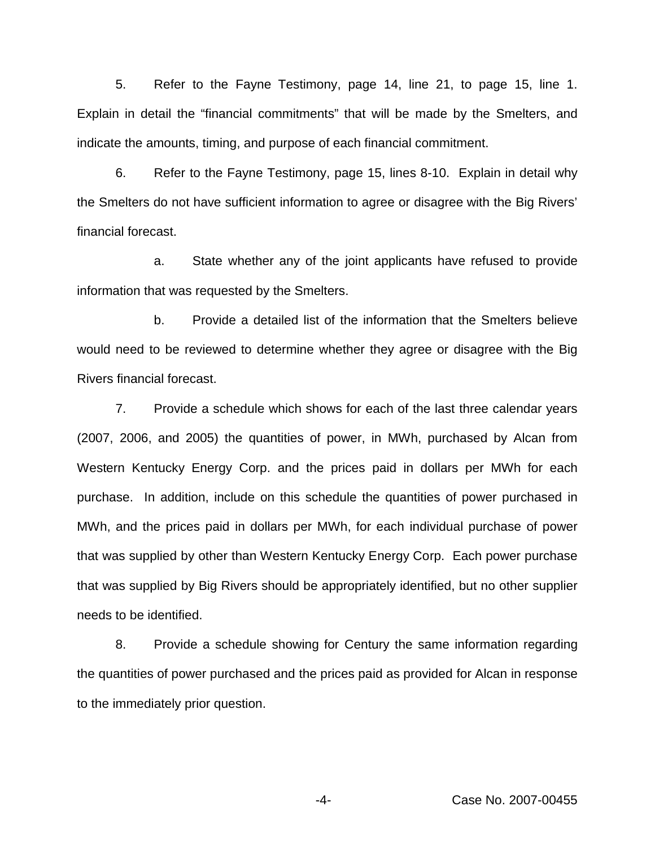5. Refer to the Fayne Testimony, page 14, line 21, to page 15, line 1. Explain in detail the "financial commitments" that will be made by the Smelters, and indicate the amounts, timing, and purpose of each financial commitment.

6. Refer to the Fayne Testimony, page 15, lines 8-10. Explain in detail why the Smelters do not have sufficient information to agree or disagree with the Big Rivers' financial forecast.

a. State whether any of the joint applicants have refused to provide information that was requested by the Smelters.

b. Provide a detailed list of the information that the Smelters believe would need to be reviewed to determine whether they agree or disagree with the Big Rivers financial forecast.

7. Provide a schedule which shows for each of the last three calendar years (2007, 2006, and 2005) the quantities of power, in MWh, purchased by Alcan from Western Kentucky Energy Corp. and the prices paid in dollars per MWh for each purchase. In addition, include on this schedule the quantities of power purchased in MWh, and the prices paid in dollars per MWh, for each individual purchase of power that was supplied by other than Western Kentucky Energy Corp. Each power purchase that was supplied by Big Rivers should be appropriately identified, but no other supplier needs to be identified.

8. Provide a schedule showing for Century the same information regarding the quantities of power purchased and the prices paid as provided for Alcan in response to the immediately prior question.

-4- Case No. 2007-00455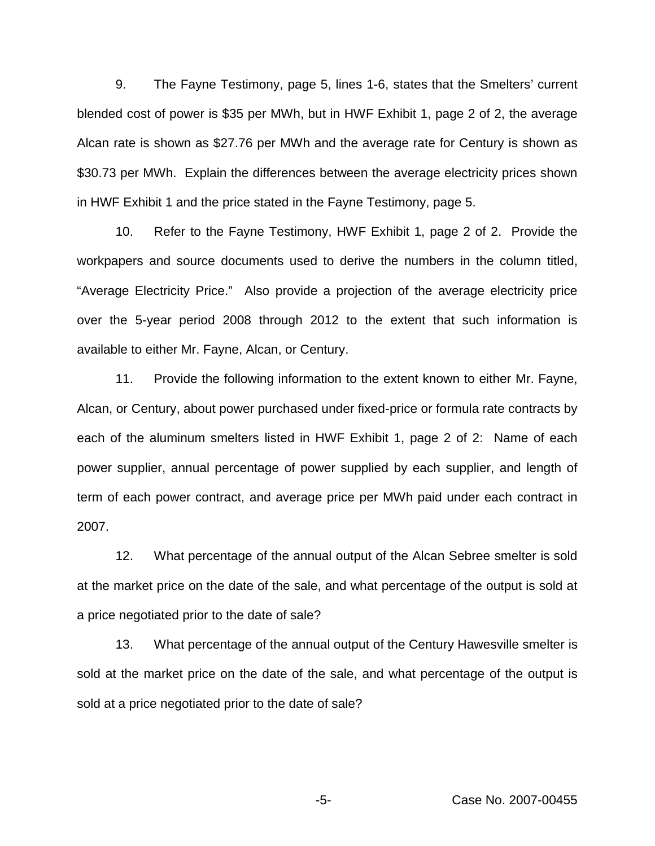9. The Fayne Testimony, page 5, lines 1-6, states that the Smelters' current blended cost of power is \$35 per MWh, but in HWF Exhibit 1, page 2 of 2, the average Alcan rate is shown as \$27.76 per MWh and the average rate for Century is shown as \$30.73 per MWh. Explain the differences between the average electricity prices shown in HWF Exhibit 1 and the price stated in the Fayne Testimony, page 5.

10. Refer to the Fayne Testimony, HWF Exhibit 1, page 2 of 2. Provide the workpapers and source documents used to derive the numbers in the column titled, "Average Electricity Price." Also provide a projection of the average electricity price over the 5-year period 2008 through 2012 to the extent that such information is available to either Mr. Fayne, Alcan, or Century.

11. Provide the following information to the extent known to either Mr. Fayne, Alcan, or Century, about power purchased under fixed-price or formula rate contracts by each of the aluminum smelters listed in HWF Exhibit 1, page 2 of 2: Name of each power supplier, annual percentage of power supplied by each supplier, and length of term of each power contract, and average price per MWh paid under each contract in 2007.

12. What percentage of the annual output of the Alcan Sebree smelter is sold at the market price on the date of the sale, and what percentage of the output is sold at a price negotiated prior to the date of sale?

13. What percentage of the annual output of the Century Hawesville smelter is sold at the market price on the date of the sale, and what percentage of the output is sold at a price negotiated prior to the date of sale?

-5- Case No. 2007-00455